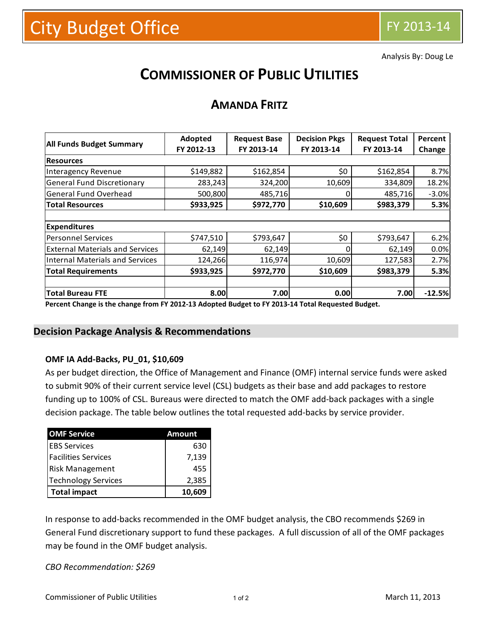Analysis By: Doug Le

# **COMMISSIONER OF PUBLIC UTILITIES**

## **AMANDA FRITZ**

| <b>All Funds Budget Summary</b>        | Adopted    | <b>Request Base</b> | <b>Decision Pkgs</b> | <b>Request Total</b> | Percent  |
|----------------------------------------|------------|---------------------|----------------------|----------------------|----------|
|                                        | FY 2012-13 | FY 2013-14          | FY 2013-14           | FY 2013-14           | Change   |
| <b>Resources</b>                       |            |                     |                      |                      |          |
| Interagency Revenue                    | \$149,882  | \$162,854           | \$0                  | \$162,854            | 8.7%     |
| <b>General Fund Discretionary</b>      | 283,243    | 324,200             | 10,609               | 334,809              | 18.2%    |
| <b>General Fund Overhead</b>           | 500,800    | 485,716             | 0                    | 485,716              | $-3.0%$  |
| <b>Total Resources</b>                 | \$933,925  | \$972,770           | \$10,609             | \$983,379            | 5.3%     |
|                                        |            |                     |                      |                      |          |
| <b>Expenditures</b>                    |            |                     |                      |                      |          |
| <b>Personnel Services</b>              | \$747,510  | \$793,647           | \$0                  | \$793,647            | 6.2%     |
| <b>External Materials and Services</b> | 62,149     | 62,149              | 0                    | 62,149               | 0.0%     |
| Internal Materials and Services        | 124,266    | 116,974             | 10,609               | 127,583              | 2.7%     |
| <b>Total Requirements</b>              | \$933,925  | \$972,770           | \$10,609             | \$983,379            | 5.3%     |
|                                        |            |                     |                      |                      |          |
| <b>Total Bureau FTE</b>                | 8.00       | 7.00                | 0.00                 | 7.00                 | $-12.5%$ |

**Percent Change is the change from FY 2012-13 Adopted Budget to FY 2013-14 Total Requested Budget.**

### **Decision Package Analysis & Recommendations**

#### **OMF IA Add-Backs, PU\_01, \$10,609**

As per budget direction, the Office of Management and Finance (OMF) internal service funds were asked to submit 90% of their current service level (CSL) budgets as their base and add packages to restore funding up to 100% of CSL. Bureaus were directed to match the OMF add-back packages with a single decision package. The table below outlines the total requested add-backs by service provider.

| <b>OMF Service</b>         | Amount |  |  |  |
|----------------------------|--------|--|--|--|
| <b>EBS Services</b>        | 630    |  |  |  |
| <b>Facilities Services</b> | 7,139  |  |  |  |
| <b>Risk Management</b>     | 455    |  |  |  |
| Technology Services        | 2,385  |  |  |  |
| <b>Total impact</b>        | 10,609 |  |  |  |

In response to add-backs recommended in the OMF budget analysis, the CBO recommends \$269 in General Fund discretionary support to fund these packages. A full discussion of all of the OMF packages may be found in the OMF budget analysis.

#### *CBO Recommendation: \$269*